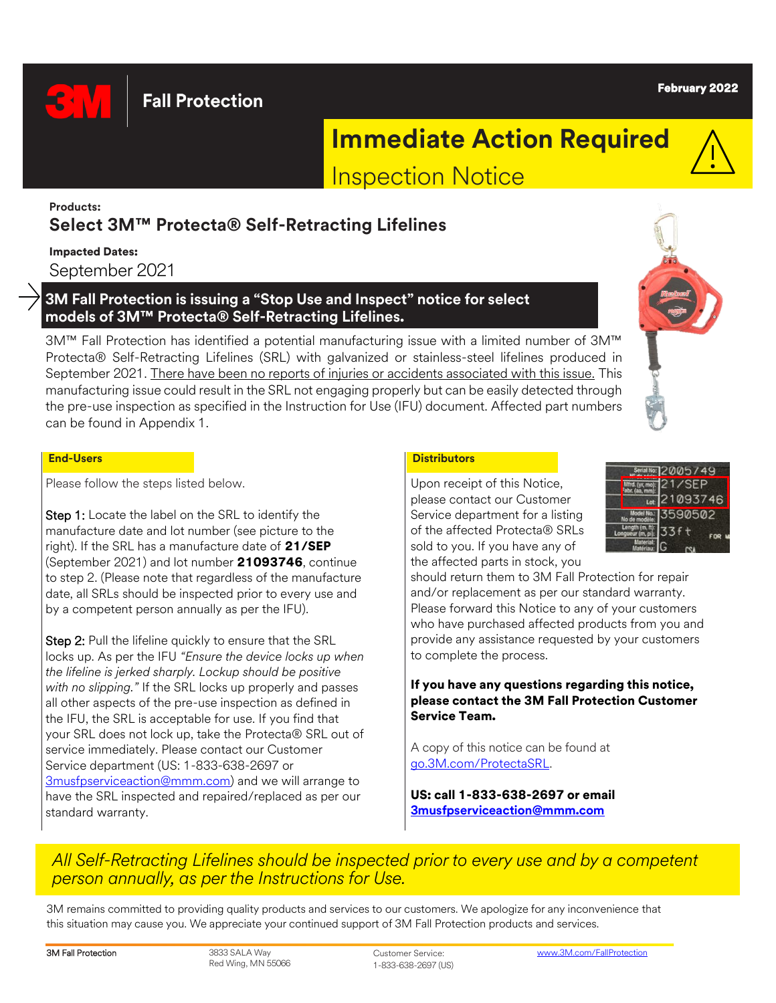**Fall Protection** 

### February 2022

# **Immediate Action Required**

Inspection Notice

### **Products: Select 3M™ Protecta® Self-Retracting Lifelines**

Impacted Dates: September 2021

### **3M Fall Protection is issuing a "Stop Use and Inspect" notice for select models of 3M™ Protecta® Self-Retracting Lifelines.**

3M™ Fall Protection has identified a potential manufacturing issue with a limited number of 3M™ Protecta® Self-Retracting Lifelines (SRL) with galvanized or stainless-steel lifelines produced in September 2021. There have been no reports of injuries or accidents associated with this issue. This manufacturing issue could result in the SRL not engaging properly but can be easily detected through the pre-use inspection as specified in the Instruction for Use (IFU) document. Affected part numbers can be found in Appendix 1.

### **End-Users Distributors**

Please follow the steps listed below.

Step 1: Locate the label on the SRL to identify the manufacture date and lot number (see picture to the right). If the SRL has a manufacture date of 21/SEP (September 2021) and lot number 21093746, continue to step 2. (Please note that regardless of the manufacture date, all SRLs should be inspected prior to every use and by a competent person annually as per the IFU).

Step 2: Pull the lifeline quickly to ensure that the SRL locks up. As per the IFU *"Ensure the device locks up when the lifeline is jerked sharply. Lockup should be positive with no slipping."* If the SRL locks up properly and passes all other aspects of the pre-use inspection as defined in the IFU, the SRL is acceptable for use. If you find that your SRL does not lock up, take the Protecta® SRL out of service immediately. Please contact our Customer Service department (US: 1-833-638-2697 or [3musfpserviceaction@mmm.com\)](mailto:3musfpserviceaction@mmm.com) and we will arrange to have the SRL inspected and repaired/replaced as per our standard warranty.

Upon receipt of this Notice, please contact our Customer Service department for a listing of the affected Protecta® SRLs sold to you. If you have any of the affected parts in stock, you



should return them to 3M Fall Protection for repair and/or replacement as per our standard warranty. Please forward this Notice to any of your customers who have purchased affected products from you and provide any assistance requested by your customers to complete the process.

### If you have any questions regarding this notice, please contact the 3M Fall Protection Customer Service Team.

A copy of this notice can be found at [go.3M.com/ProtectaSRL.](http://go.3m.com/ProtectaSRL)

US: call 1-833-638-2697 or email **[3musfpserviceaction@mmm.com](mailto:3musfpserviceaction@mmm.com)**

# *All Self-Retracting Lifelines should be inspected prior to every use and by a competent person annually, as per the Instructions for Use.*

3M remains committed to providing quality products and services to our customers. We apologize for any inconvenience that this situation may cause you. We appreciate your continued support of 3M Fall Protection products and services.

**3M Fall Protection** 3833 SALA Way Red Wing, MN 55066 Customer Service: 1-833-638-2697 (US)